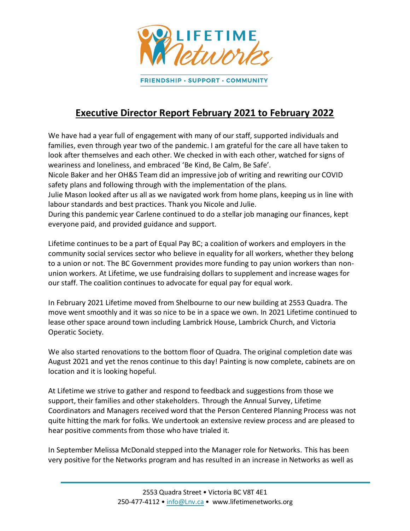

## **Executive Director Report February 2021 to February 2022**

We have had a year full of engagement with many of our staff, supported individuals and families, even through year two of the pandemic. I am grateful for the care all have taken to look after themselves and each other. We checked in with each other, watched for signs of weariness and loneliness, and embraced 'Be Kind, Be Calm, Be Safe'.

Nicole Baker and her OH&S Team did an impressive job of writing and rewriting our COVID safety plans and following through with the implementation of the plans.

Julie Mason looked after us all as we navigated work from home plans, keeping us in line with labour standards and best practices. Thank you Nicole and Julie.

During this pandemic year Carlene continued to do a stellar job managing our finances, kept everyone paid, and provided guidance and support.

Lifetime continues to be a part of Equal Pay BC; a coalition of workers and employers in the community social services sector who believe in equality for all workers, whether they belong to a union or not. The BC Government provides more funding to pay union workers than nonunion workers. At Lifetime, we use fundraising dollars to supplement and increase wages for our staff. The coalition continues to advocate for equal pay for equal work.

In February 2021 Lifetime moved from Shelbourne to our new building at 2553 Quadra. The move went smoothly and it was so nice to be in a space we own. In 2021 Lifetime continued to lease other space around town including Lambrick House, Lambrick Church, and Victoria Operatic Society.

We also started renovations to the bottom floor of Quadra. The original completion date was August 2021 and yet the renos continue to this day! Painting is now complete, cabinets are on location and it is looking hopeful.

At Lifetime we strive to gather and respond to feedback and suggestions from those we support, their families and other stakeholders. Through the Annual Survey, Lifetime Coordinators and Managers received word that the Person Centered Planning Process was not quite hitting the mark for folks. We undertook an extensive review process and are pleased to hear positive comments from those who have trialed it.

In September Melissa McDonald stepped into the Manager role for Networks. This has been very positive for the Networks program and has resulted in an increase in Networks as well as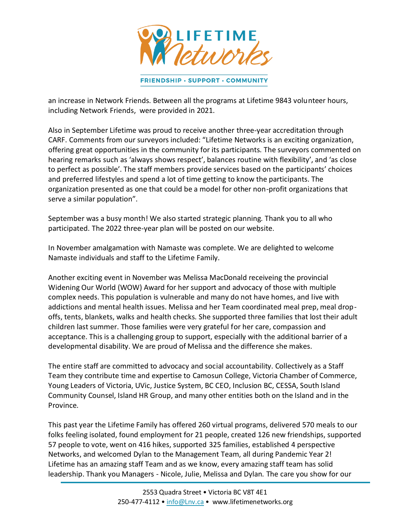

an increase in Network Friends. Between all the programs at Lifetime 9843 volunteer hours, including Network Friends, were provided in 2021.

Also in September Lifetime was proud to receive another three-year accreditation through CARF. Comments from our surveyors included: "Lifetime Networks is an exciting organization, offering great opportunities in the community for its participants. The surveyors commented on hearing remarks such as 'always shows respect', balances routine with flexibility', and 'as close to perfect as possible'. The staff members provide services based on the participants' choices and preferred lifestyles and spend a lot of time getting to know the participants. The organization presented as one that could be a model for other non-profit organizations that serve a similar population".

September was a busy month! We also started strategic planning. Thank you to all who participated. The 2022 three-year plan will be posted on our website.

In November amalgamation with Namaste was complete. We are delighted to welcome Namaste individuals and staff to the Lifetime Family.

Another exciting event in November was Melissa MacDonald receiveing the provincial Widening Our World (WOW) Award for her support and advocacy of those with multiple complex needs. This population is vulnerable and many do not have homes, and live with addictions and mental health issues. Melissa and her Team coordinated meal prep, meal dropoffs, tents, blankets, walks and health checks. She supported three families that lost their adult children last summer. Those families were very grateful for her care, compassion and acceptance. This is a challenging group to support, especially with the additional barrier of a developmental disability. We are proud of Melissa and the difference she makes.

The entire staff are committed to advocacy and social accountability. Collectively as a Staff Team they contribute time and expertise to Camosun College, Victoria Chamber of Commerce, Young Leaders of Victoria, UVic, Justice System, BC CEO, Inclusion BC, CESSA, South Island Community Counsel, Island HR Group, and many other entities both on the Island and in the Province.

This past year the Lifetime Family has offered 260 virtual programs, delivered 570 meals to our folks feeling isolated, found employment for 21 people, created 126 new friendships, supported 57 people to vote, went on 416 hikes, supported 325 families, established 4 perspective Networks, and welcomed Dylan to the Management Team, all during Pandemic Year 2! Lifetime has an amazing staff Team and as we know, every amazing staff team has solid leadership. Thank you Managers - Nicole, Julie, Melissa and Dylan. The care you show for our